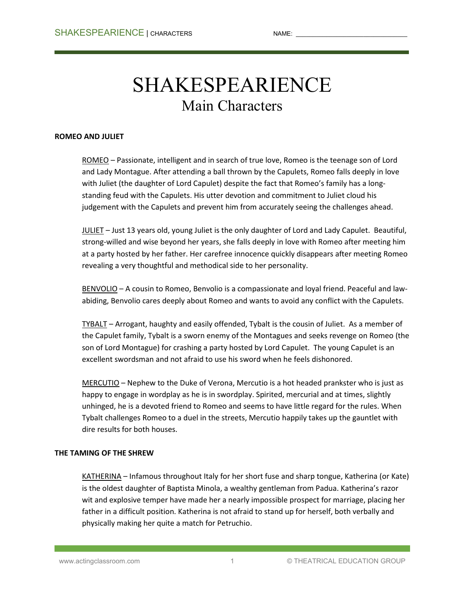# SHAKESPEARIENCE Main Characters

# **ROMEO AND JULIET**

ROMEO – Passionate, intelligent and in search of true love, Romeo is the teenage son of Lord and Lady Montague. After attending a ball thrown by the Capulets, Romeo falls deeply in love with Juliet (the daughter of Lord Capulet) despite the fact that Romeo's family has a longstanding feud with the Capulets. His utter devotion and commitment to Juliet cloud his judgement with the Capulets and prevent him from accurately seeing the challenges ahead.

JULIET – Just 13 years old, young Juliet is the only daughter of Lord and Lady Capulet. Beautiful, strong-willed and wise beyond her years, she falls deeply in love with Romeo after meeting him at a party hosted by her father. Her carefree innocence quickly disappears after meeting Romeo revealing a very thoughtful and methodical side to her personality.

BENVOLIO – A cousin to Romeo, Benvolio is a compassionate and loyal friend. Peaceful and lawabiding, Benvolio cares deeply about Romeo and wants to avoid any conflict with the Capulets.

TYBALT – Arrogant, haughty and easily offended, Tybalt is the cousin of Juliet. As a member of the Capulet family, Tybalt is a sworn enemy of the Montagues and seeks revenge on Romeo (the son of Lord Montague) for crashing a party hosted by Lord Capulet. The young Capulet is an excellent swordsman and not afraid to use his sword when he feels dishonored.

MERCUTIO – Nephew to the Duke of Verona, Mercutio is a hot headed prankster who is just as happy to engage in wordplay as he is in swordplay. Spirited, mercurial and at times, slightly unhinged, he is a devoted friend to Romeo and seems to have little regard for the rules. When Tybalt challenges Romeo to a duel in the streets, Mercutio happily takes up the gauntlet with dire results for both houses.

# **THE TAMING OF THE SHREW**

KATHERINA – Infamous throughout Italy for her short fuse and sharp tongue, Katherina (or Kate) is the oldest daughter of Baptista Minola, a wealthy gentleman from Padua. Katherina's razor wit and explosive temper have made her a nearly impossible prospect for marriage, placing her father in a difficult position. Katherina is not afraid to stand up for herself, both verbally and physically making her quite a match for Petruchio.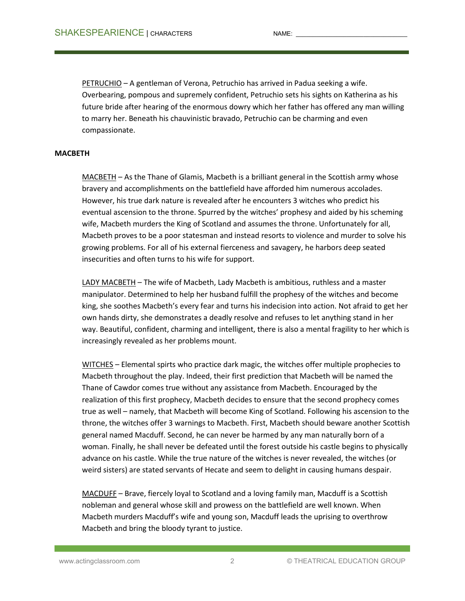PETRUCHIO – A gentleman of Verona, Petruchio has arrived in Padua seeking a wife. Overbearing, pompous and supremely confident, Petruchio sets his sights on Katherina as his future bride after hearing of the enormous dowry which her father has offered any man willing to marry her. Beneath his chauvinistic bravado, Petruchio can be charming and even compassionate.

# **MACBETH**

MACBETH – As the Thane of Glamis, Macbeth is a brilliant general in the Scottish army whose bravery and accomplishments on the battlefield have afforded him numerous accolades. However, his true dark nature is revealed after he encounters 3 witches who predict his eventual ascension to the throne. Spurred by the witches' prophesy and aided by his scheming wife, Macbeth murders the King of Scotland and assumes the throne. Unfortunately for all, Macbeth proves to be a poor statesman and instead resorts to violence and murder to solve his growing problems. For all of his external fierceness and savagery, he harbors deep seated insecurities and often turns to his wife for support.

LADY MACBETH – The wife of Macbeth, Lady Macbeth is ambitious, ruthless and a master manipulator. Determined to help her husband fulfill the prophesy of the witches and become king, she soothes Macbeth's every fear and turns his indecision into action. Not afraid to get her own hands dirty, she demonstrates a deadly resolve and refuses to let anything stand in her way. Beautiful, confident, charming and intelligent, there is also a mental fragility to her which is increasingly revealed as her problems mount.

WITCHES – Elemental spirts who practice dark magic, the witches offer multiple prophecies to Macbeth throughout the play. Indeed, their first prediction that Macbeth will be named the Thane of Cawdor comes true without any assistance from Macbeth. Encouraged by the realization of this first prophecy, Macbeth decides to ensure that the second prophecy comes true as well – namely, that Macbeth will become King of Scotland. Following his ascension to the throne, the witches offer 3 warnings to Macbeth. First, Macbeth should beware another Scottish general named Macduff. Second, he can never be harmed by any man naturally born of a woman. Finally, he shall never be defeated until the forest outside his castle begins to physically advance on his castle. While the true nature of the witches is never revealed, the witches (or weird sisters) are stated servants of Hecate and seem to delight in causing humans despair.

MACDUFF – Brave, fiercely loyal to Scotland and a loving family man, Macduff is a Scottish nobleman and general whose skill and prowess on the battlefield are well known. When Macbeth murders Macduff's wife and young son, Macduff leads the uprising to overthrow Macbeth and bring the bloody tyrant to justice.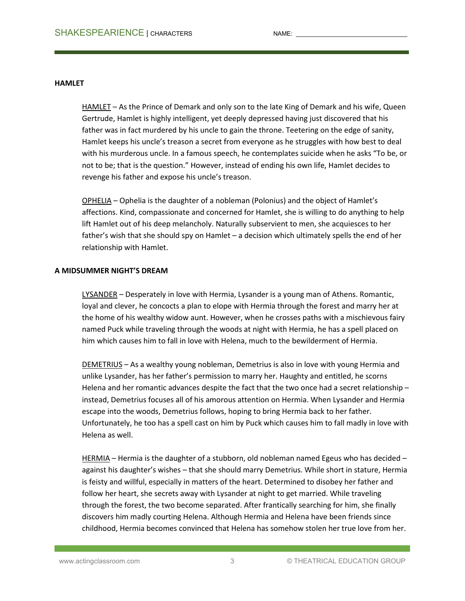# **HAMLET**

HAMLET – As the Prince of Demark and only son to the late King of Demark and his wife, Queen Gertrude, Hamlet is highly intelligent, yet deeply depressed having just discovered that his father was in fact murdered by his uncle to gain the throne. Teetering on the edge of sanity, Hamlet keeps his uncle's treason a secret from everyone as he struggles with how best to deal with his murderous uncle. In a famous speech, he contemplates suicide when he asks "To be, or not to be; that is the question." However, instead of ending his own life, Hamlet decides to revenge his father and expose his uncle's treason.

OPHELIA – Ophelia is the daughter of a nobleman (Polonius) and the object of Hamlet's affections. Kind, compassionate and concerned for Hamlet, she is willing to do anything to help lift Hamlet out of his deep melancholy. Naturally subservient to men, she acquiesces to her father's wish that she should spy on Hamlet – a decision which ultimately spells the end of her relationship with Hamlet.

# **A MIDSUMMER NIGHT'S DREAM**

LYSANDER – Desperately in love with Hermia, Lysander is a young man of Athens. Romantic, loyal and clever, he concocts a plan to elope with Hermia through the forest and marry her at the home of his wealthy widow aunt. However, when he crosses paths with a mischievous fairy named Puck while traveling through the woods at night with Hermia, he has a spell placed on him which causes him to fall in love with Helena, much to the bewilderment of Hermia.

DEMETRIUS – As a wealthy young nobleman, Demetrius is also in love with young Hermia and unlike Lysander, has her father's permission to marry her. Haughty and entitled, he scorns Helena and her romantic advances despite the fact that the two once had a secret relationship instead, Demetrius focuses all of his amorous attention on Hermia. When Lysander and Hermia escape into the woods, Demetrius follows, hoping to bring Hermia back to her father. Unfortunately, he too has a spell cast on him by Puck which causes him to fall madly in love with Helena as well.

HERMIA – Hermia is the daughter of a stubborn, old nobleman named Egeus who has decided – against his daughter's wishes – that she should marry Demetrius. While short in stature, Hermia is feisty and willful, especially in matters of the heart. Determined to disobey her father and follow her heart, she secrets away with Lysander at night to get married. While traveling through the forest, the two become separated. After frantically searching for him, she finally discovers him madly courting Helena. Although Hermia and Helena have been friends since childhood, Hermia becomes convinced that Helena has somehow stolen her true love from her.